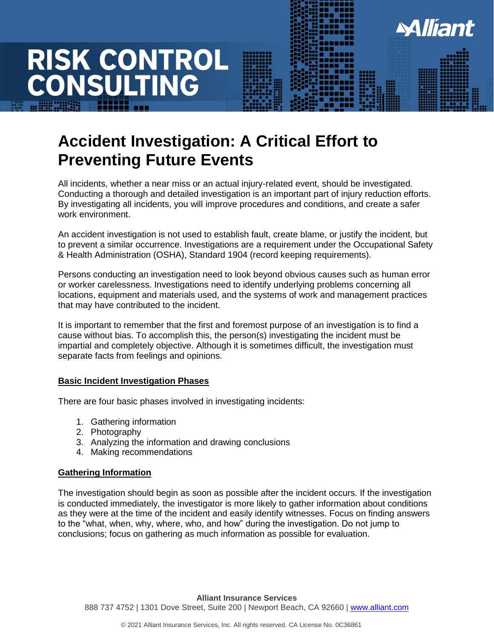### **Accident Investigation: A Critical Effort to Preventing Future Events**

All incidents, whether a near miss or an actual injury-related event, should be investigated. Conducting a thorough and detailed investigation is an important part of injury reduction efforts. By investigating all incidents, you will improve procedures and conditions, and create a safer work environment.

**Alliant** 

An accident investigation is not used to establish fault, create blame, or justify the incident, but to prevent a similar occurrence. Investigations are a requirement under the Occupational Safety & Health Administration (OSHA), Standard 1904 (record keeping requirements).

Persons conducting an investigation need to look beyond obvious causes such as human error or worker carelessness. Investigations need to identify underlying problems concerning all locations, equipment and materials used, and the systems of work and management practices that may have contributed to the incident.

It is important to remember that the first and foremost purpose of an investigation is to find a cause without bias. To accomplish this, the person(s) investigating the incident must be impartial and completely objective. Although it is sometimes difficult, the investigation must separate facts from feelings and opinions.

### **Basic Incident Investigation Phases**

There are four basic phases involved in investigating incidents:

- 1. Gathering information
- 2. Photography
- 3. Analyzing the information and drawing conclusions
- 4. Making recommendations

### **Gathering Information**

The investigation should begin as soon as possible after the incident occurs. If the investigation is conducted immediately, the investigator is more likely to gather information about conditions as they were at the time of the incident and easily identify witnesses. Focus on finding answers to the "what, when, why, where, who, and how" during the investigation. Do not jump to conclusions; focus on gathering as much information as possible for evaluation.

**Alliant Insurance Services** 888 737 4752 | 1301 Dove Street, Suite 200 | Newport Beach, CA 92660 | [www.alliant.com](http://www.alliant.com/)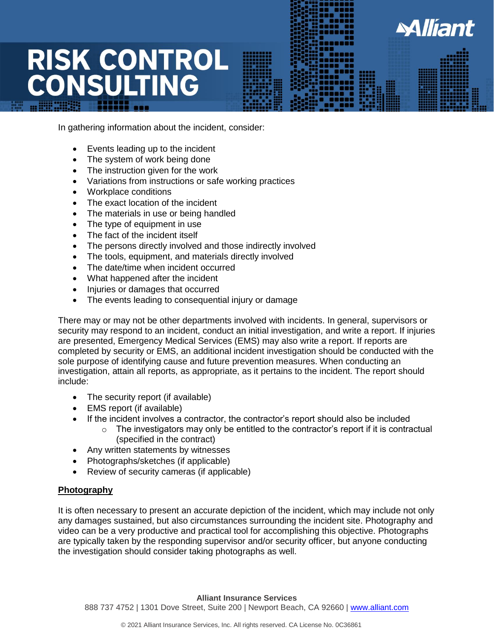In gathering information about the incident, consider:

- Events leading up to the incident
- The system of work being done
- The instruction given for the work
- Variations from instructions or safe working practices
- Workplace conditions
- The exact location of the incident
- The materials in use or being handled
- The type of equipment in use
- The fact of the incident itself
- The persons directly involved and those indirectly involved
- The tools, equipment, and materials directly involved
- The date/time when incident occurred
- What happened after the incident
- Injuries or damages that occurred
- The events leading to consequential injury or damage

There may or may not be other departments involved with incidents. In general, supervisors or security may respond to an incident, conduct an initial investigation, and write a report. If injuries are presented, Emergency Medical Services (EMS) may also write a report. If reports are completed by security or EMS, an additional incident investigation should be conducted with the sole purpose of identifying cause and future prevention measures. When conducting an investigation, attain all reports, as appropriate, as it pertains to the incident. The report should include:

- The security report (if available)
- EMS report (if available)
- If the incident involves a contractor, the contractor's report should also be included
	- $\circ$  The investigators may only be entitled to the contractor's report if it is contractual (specified in the contract)

**Miliant** 

- Any written statements by witnesses
- Photographs/sketches (if applicable)
- Review of security cameras (if applicable)

### **Photography**

It is often necessary to present an accurate depiction of the incident, which may include not only any damages sustained, but also circumstances surrounding the incident site. Photography and video can be a very productive and practical tool for accomplishing this objective. Photographs are typically taken by the responding supervisor and/or security officer, but anyone conducting the investigation should consider taking photographs as well.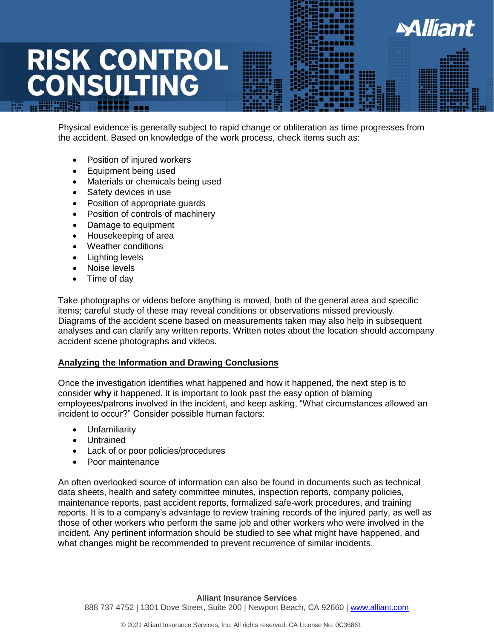Physical evidence is generally subject to rapid change or obliteration as time progresses from the accident. Based on knowledge of the work process, check items such as:

**Miliant** 

- Position of injured workers
- Equipment being used
- Materials or chemicals being used
- Safety devices in use
- Position of appropriate guards
- Position of controls of machinery
- Damage to equipment
- Housekeeping of area
- Weather conditions
- Lighting levels
- Noise levels
- Time of day

Take photographs or videos before anything is moved, both of the general area and specific items; careful study of these may reveal conditions or observations missed previously. Diagrams of the accident scene based on measurements taken may also help in subsequent analyses and can clarify any written reports. Written notes about the location should accompany accident scene photographs and videos.

### **Analyzing the Information and Drawing Conclusions**

Once the investigation identifies what happened and how it happened, the next step is to consider **why** it happened. It is important to look past the easy option of blaming employees/patrons involved in the incident, and keep asking, "What circumstances allowed an incident to occur?" Consider possible human factors:

- Unfamiliarity
- Untrained
- Lack of or poor policies/procedures
- Poor maintenance

An often overlooked source of information can also be found in documents such as technical data sheets, health and safety committee minutes, inspection reports, company policies, maintenance reports, past accident reports, formalized safe-work procedures, and training reports. It is to a company's advantage to review training records of the injured party, as well as those of other workers who perform the same job and other workers who were involved in the incident. Any pertinent information should be studied to see what might have happened, and what changes might be recommended to prevent recurrence of similar incidents.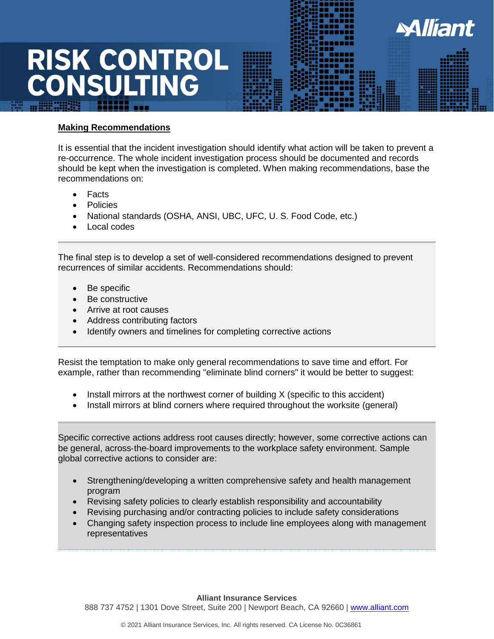**Making Recommendations**

It is essential that the incident investigation should identify what action will be taken to prevent a re-occurrence. The whole incident investigation process should be documented and records should be kept when the investigation is completed. When making recommendations, base the recommendations on:

**Miliant** 

- **Facts**
- Policies
- National standards (OSHA, ANSI, UBC, UFC, U. S. Food Code, etc.)
- Local codes

The final step is to develop a set of well-considered recommendations designed to prevent recurrences of similar accidents. Recommendations should:

- Be specific
- Be constructive
- Arrive at root causes
- Address contributing factors
- Identify owners and timelines for completing corrective actions

Resist the temptation to make only general recommendations to save time and effort. For example, rather than recommending "eliminate blind corners" it would be better to suggest:

- Install mirrors at the northwest corner of building X (specific to this accident)
- Install mirrors at blind corners where required throughout the worksite (general)

Specific corrective actions address root causes directly; however, some corrective actions can be general, across-the-board improvements to the workplace safety environment. Sample global corrective actions to consider are:

- Strengthening/developing a written comprehensive safety and health management program
- Revising safety policies to clearly establish responsibility and accountability
- Revising purchasing and/or contracting policies to include safety considerations
- Changing safety inspection process to include line employees along with management representatives

**Alliant Insurance Services** 888 737 4752 | 1301 Dove Street, Suite 200 | Newport Beach, CA 92660 | [www.alliant.com](http://www.alliant.com/)